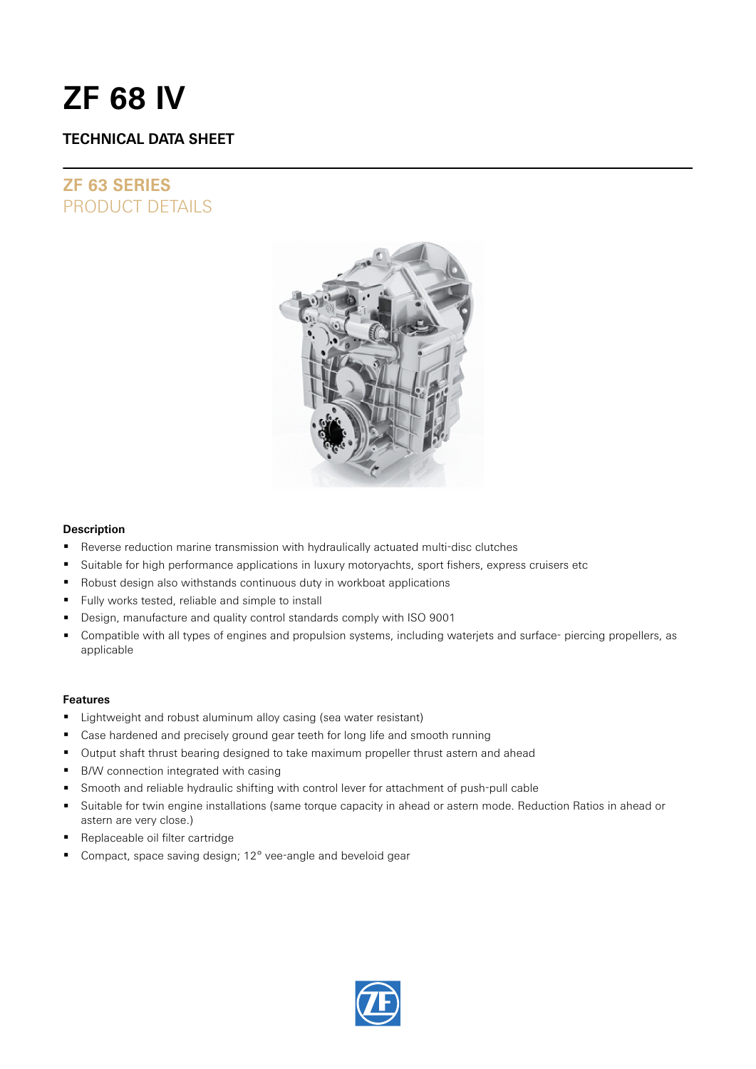# **ZF 68 IV**

### **TECHNICAL DATA SHEET**

## **ZF 63 SERIES** PRODUCT DETAILS



### **Description**

- Reverse reduction marine transmission with hydraulically actuated multi-disc clutches
- **Suitable for high performance applications in luxury motoryachts, sport fishers, express cruisers etc**
- Robust design also withstands continuous duty in workboat applications
- Fully works tested, reliable and simple to install
- Design, manufacture and quality control standards comply with ISO 9001
- Compatible with all types of engines and propulsion systems, including waterjets and surface- piercing propellers, as applicable

### **Features**

- Lightweight and robust aluminum alloy casing (sea water resistant)
- Case hardened and precisely ground gear teeth for long life and smooth running
- Output shaft thrust bearing designed to take maximum propeller thrust astern and ahead
- B/W connection integrated with casing
- Smooth and reliable hydraulic shifting with control lever for attachment of push-pull cable
- Suitable for twin engine installations (same torque capacity in ahead or astern mode. Reduction Ratios in ahead or astern are very close.)
- Replaceable oil filter cartridge
- Compact, space saving design; 12° vee-angle and beveloid gear

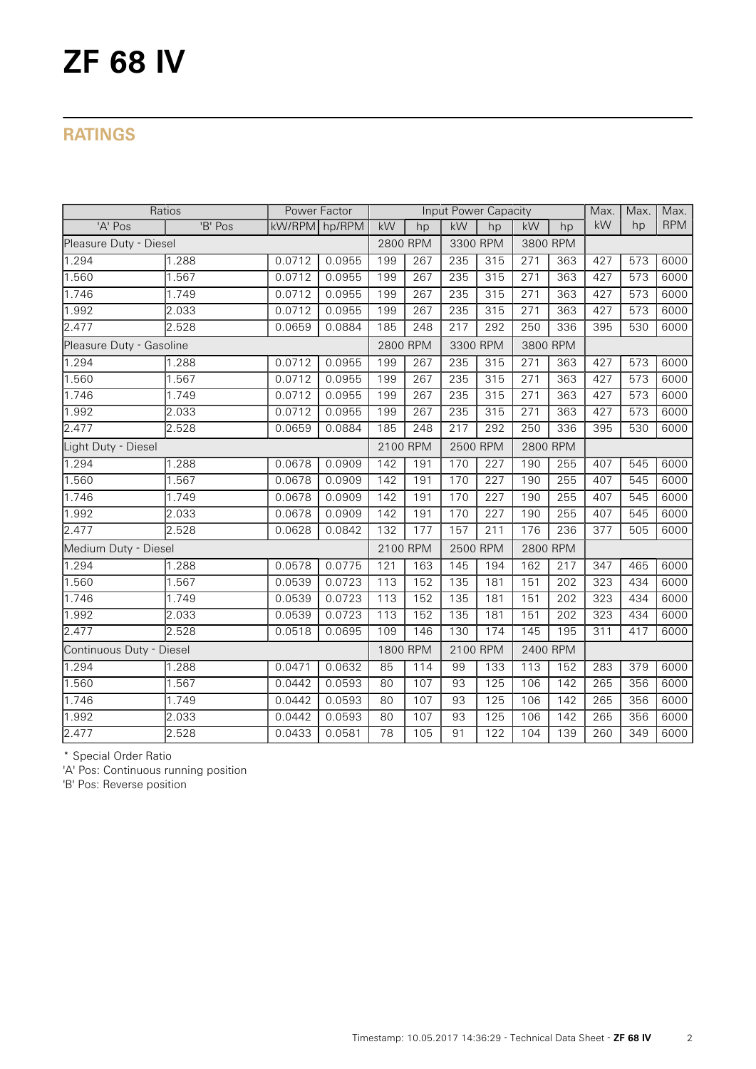# **ZF 68 IV**

## **RATINGS**

| Ratios                   |         | Power Factor  |        | Input Power Capacity |     |                      |                  |                  | Max.     | Max.             | Max. |            |
|--------------------------|---------|---------------|--------|----------------------|-----|----------------------|------------------|------------------|----------|------------------|------|------------|
| 'A' Pos                  | 'B' Pos | kW/RPM hp/RPM |        | kW                   | hp  | kW                   | hp               | kW               | hp       | kW               | hp   | <b>RPM</b> |
| Pleasure Duty - Diesel   |         |               |        | 2800 RPM             |     | 3300 RPM             |                  | 3800 RPM         |          |                  |      |            |
| 1.294                    | 1.288   | 0.0712        | 0.0955 | 199                  | 267 | 235                  | 315              | 271              | 363      | 427              | 573  | 6000       |
| 1.560                    | 1.567   | 0.0712        | 0.0955 | 199                  | 267 | 235                  | 315              | $\overline{271}$ | 363      | 427              | 573  | 6000       |
| 1.746                    | 1.749   | 0.0712        | 0.0955 | 199                  | 267 | 235                  | 315              | 271              | 363      | 427              | 573  | 6000       |
| 1.992                    | 2.033   | 0.0712        | 0.0955 | 199                  | 267 | 235                  | 315              | 271              | 363      | 427              | 573  | 6000       |
| 2.477                    | 2.528   | 0.0659        | 0.0884 | 185                  | 248 | 217                  | 292              | 250              | 336      | 395              | 530  | 6000       |
| Pleasure Duty - Gasoline |         |               |        | 2800 RPM             |     | 3300 RPM             |                  |                  | 3800 RPM |                  |      |            |
| 1.294                    | 1.288   | 0.0712        | 0.0955 | 199                  | 267 | 235                  | 315              | 271              | 363      | 427              | 573  | 6000       |
| 1.560                    | 1.567   | 0.0712        | 0.0955 | 199                  | 267 | 235                  | 315              | $\overline{271}$ | 363      | 427              | 573  | 6000       |
| 1.746                    | 1.749   | 0.0712        | 0.0955 | 199                  | 267 | 235                  | 315              | 271              | 363      | 427              | 573  | 6000       |
| 1.992                    | 2.033   | 0.0712        | 0.0955 | 199                  | 267 | 235                  | 315              | 271              | 363      | 427              | 573  | 6000       |
| 2.477                    | 2.528   | 0.0659        | 0.0884 | 185                  | 248 | 217                  | 292              | 250              | 336      | 395              | 530  | 6000       |
| Light Duty - Diesel      |         |               |        | 2100 RPM             |     | 2500 RPM<br>2800 RPM |                  |                  |          |                  |      |            |
| 1.294                    | 1.288   | 0.0678        | 0.0909 | 142                  | 191 | 170                  | $\overline{227}$ | 190              | 255      | 407              | 545  | 6000       |
| 1.560                    | 1.567   | 0.0678        | 0.0909 | 142                  | 191 | 170                  | 227              | 190              | 255      | 407              | 545  | 6000       |
| 1.746                    | 1.749   | 0.0678        | 0.0909 | 142                  | 191 | 170                  | 227              | 190              | 255      | 407              | 545  | 6000       |
| 1.992                    | 2.033   | 0.0678        | 0.0909 | 142                  | 191 | 170                  | $\overline{227}$ | 190              | 255      | 407              | 545  | 6000       |
| 2.477                    | 2.528   | 0.0628        | 0.0842 | 132                  | 177 | 157                  | 211              | 176              | 236      | 377              | 505  | 6000       |
| Medium Duty - Diesel     |         |               |        | 2100 RPM             |     | 2500 RPM             |                  | 2800 RPM         |          |                  |      |            |
| 1.294                    | 1.288   | 0.0578        | 0.0775 | 121                  | 163 | 145                  | 194              | 162              | 217      | 347              | 465  | 6000       |
| 1.560                    | 1.567   | 0.0539        | 0.0723 | $\overline{113}$     | 152 | $\frac{135}{ }$      | 181              | 151              | 202      | 323              | 434  | 6000       |
| 1.746                    | 1.749   | 0.0539        | 0.0723 | 113                  | 152 | 135                  | 181              | 151              | 202      | 323              | 434  | 6000       |
| 1.992                    | 2.033   | 0.0539        | 0.0723 | 113                  | 152 | 135                  | 181              | 151              | 202      | 323              | 434  | 6000       |
| 2.477                    | 2.528   | 0.0518        | 0.0695 | 109                  | 146 | 130                  | 174              | 145              | 195      | 311              | 417  | 6000       |
| Continuous Duty - Diesel |         |               |        | 1800 RPM             |     | 2100 RPM             |                  | 2400 RPM         |          |                  |      |            |
| 1.294                    | 1.288   | 0.0471        | 0.0632 | 85                   | 114 | 99                   | 133              | 113              | 152      | 283              | 379  | 6000       |
| 1.560                    | 1.567   | 0.0442        | 0.0593 | 80                   | 107 | 93                   | 125              | 106              | 142      | 265              | 356  | 6000       |
| 1.746                    | 1.749   | 0.0442        | 0.0593 | 80                   | 107 | 93                   | $\frac{125}{25}$ | 106              | 142      | $\overline{265}$ | 356  | 6000       |
| 1.992                    | 2.033   | 0.0442        | 0.0593 | 80                   | 107 | 93                   | 125              | 106              | 142      | 265              | 356  | 6000       |
| 2.477                    | 2.528   | 0.0433        | 0.0581 | 78                   | 105 | 91                   | 122              | 104              | 139      | 260              | 349  | 6000       |

\* Special Order Ratio

'A' Pos: Continuous running position

'B' Pos: Reverse position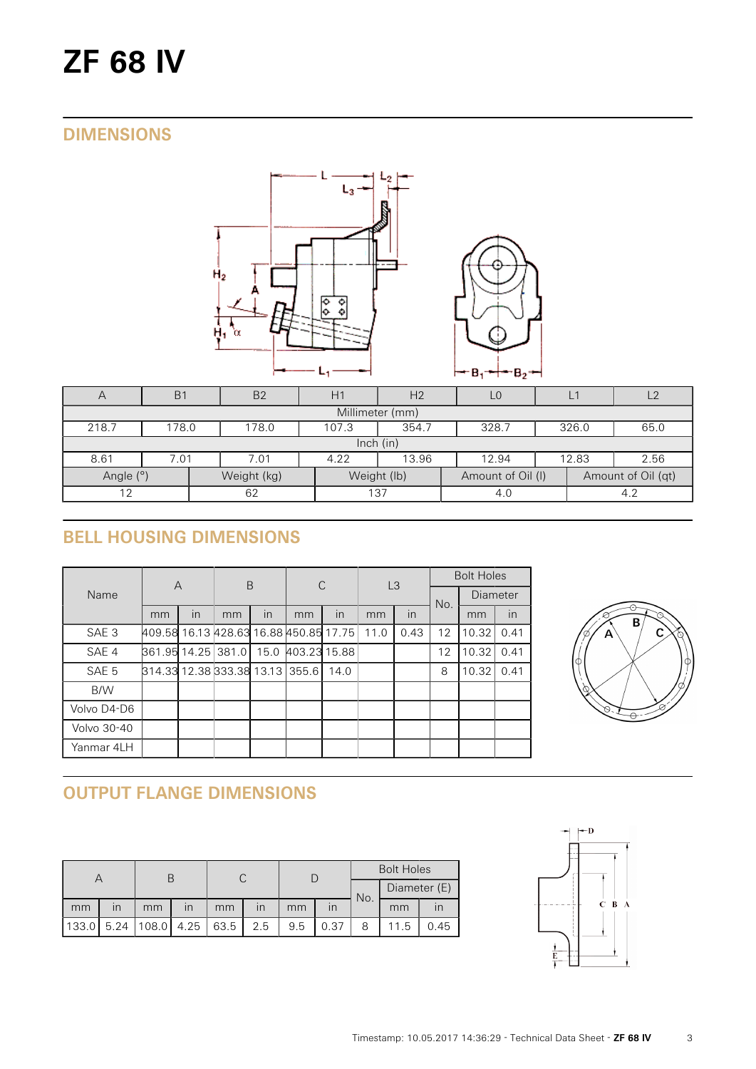# **ZF 68 IV**

## **DIMENSIONS**



| $\overline{A}$  | B <sub>1</sub>                                             | B <sub>2</sub> | H1  | H <sub>2</sub> |                   | $L^1$ |                    | $\sqrt{2}$ |  |  |  |
|-----------------|------------------------------------------------------------|----------------|-----|----------------|-------------------|-------|--------------------|------------|--|--|--|
| Millimeter (mm) |                                                            |                |     |                |                   |       |                    |            |  |  |  |
| 218.7           | 354.7<br>328.7<br>65.0<br>178.0<br>178.0<br>107.3<br>326.0 |                |     |                |                   |       |                    |            |  |  |  |
| lnch (in)       |                                                            |                |     |                |                   |       |                    |            |  |  |  |
| 8.61            | 2.56<br>13.96<br>12.83<br>7.01<br>4.22<br>12.94<br>7.01    |                |     |                |                   |       |                    |            |  |  |  |
| Angle (°)       |                                                            | Weight (kg)    |     | Weight (lb)    | Amount of Oil (I) |       | Amount of Oil (qt) |            |  |  |  |
| 12              |                                                            | 62             | 137 |                | 4.0               |       | 4.2                |            |  |  |  |

# **BELL HOUSING DIMENSIONS**

|                  | $\overline{A}$                         |    | B  |                         | С            |              | L <sub>3</sub> |      | <b>Bolt Holes</b> |          |      |
|------------------|----------------------------------------|----|----|-------------------------|--------------|--------------|----------------|------|-------------------|----------|------|
| Name             |                                        |    |    |                         |              |              |                |      | No.               | Diameter |      |
|                  | mm                                     | in | mm | $\overline{\mathsf{I}}$ | mm           | $\mathsf{I}$ | mm             | in   |                   | mm       | in   |
| SAE <sub>3</sub> | 409.58 16.13 428.63 16.88 450.85 17.75 |    |    |                         |              |              | 11.0           | 0.43 | 12                | 10.32    | 0.41 |
| SAE 4            | 861.95 14.25 381.0                     |    |    | 15.0                    | 403.23 15.88 |              |                |      | 12                | 10.32    | 0.41 |
| SAE 5            | 814.33 12.38 333.38 13.13 355.6        |    |    |                         |              | 14.0         |                |      | 8                 | 10.32    | 0.41 |
| B/W              |                                        |    |    |                         |              |              |                |      |                   |          |      |
| Volvo D4-D6      |                                        |    |    |                         |              |              |                |      |                   |          |      |
| Volvo 30-40      |                                        |    |    |                         |              |              |                |      |                   |          |      |
| Yanmar 4LH       |                                        |    |    |                         |              |              |                |      |                   |          |      |



# **OUTPUT FLANGE DIMENSIONS**

|       |                         |            |                         |      |                         |     |      | <b>Bolt Holes</b> |              |      |  |
|-------|-------------------------|------------|-------------------------|------|-------------------------|-----|------|-------------------|--------------|------|--|
|       |                         |            |                         |      |                         |     |      | No.               | Diameter (E) |      |  |
| mm    | $\overline{\mathsf{I}}$ | mm         | $\overline{\mathsf{I}}$ | mm   | $\overline{\mathsf{I}}$ | mm  |      |                   | mm           |      |  |
| 133.0 | 5.24                    | 108.0 4.25 |                         | 63.5 | 2.5                     | 9.5 | 0.37 |                   | 11.5         | 0.45 |  |